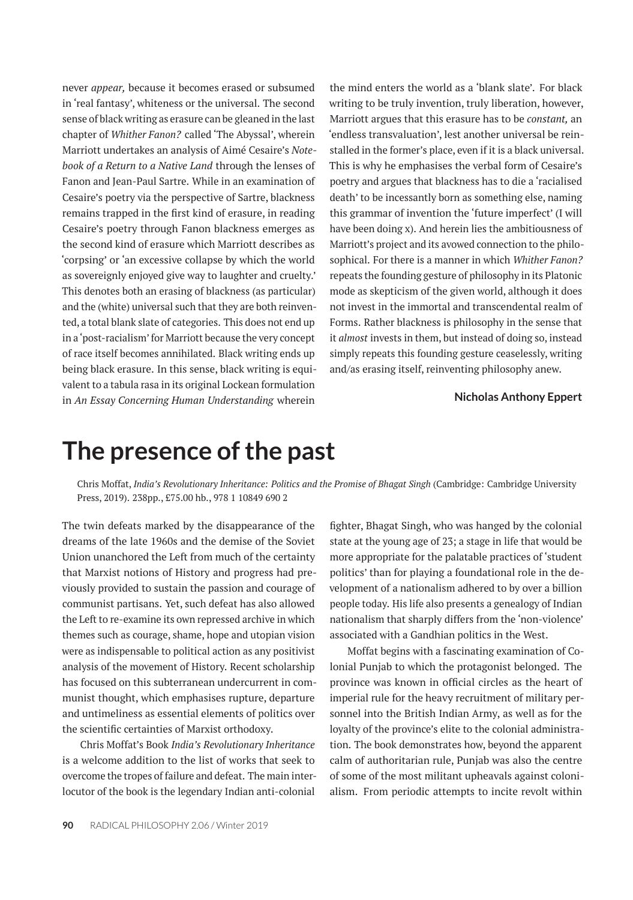never *appear,* because it becomes erased or subsumed in 'real fantasy', whiteness or the universal. The second sense of black writing as erasure can be gleaned in the last chapter of *Whither Fanon?* called 'The Abyssal', wherein Marriott undertakes an analysis of Aimé Cesaire's *Notebook of a Return to a Native Land* through the lenses of Fanon and Jean-Paul Sartre. While in an examination of Cesaire's poetry via the perspective of Sartre, blackness remains trapped in the first kind of erasure, in reading Cesaire's poetry through Fanon blackness emerges as the second kind of erasure which Marriott describes as 'corpsing' or 'an excessive collapse by which the world as sovereignly enjoyed give way to laughter and cruelty.' This denotes both an erasing of blackness (as particular) and the (white) universal such that they are both reinvented, a total blank slate of categories. This does not end up in a'post-racialism' for Marriott because the very concept of race itself becomes annihilated. Black writing ends up being black erasure. In this sense, black writing is equivalent to a tabula rasa in its original Lockean formulation in *An Essay Concerning Human Understanding* wherein the mind enters the world as a 'blank slate'. For black writing to be truly invention, truly liberation, however, Marriott argues that this erasure has to be *constant,* an 'endless transvaluation', lest another universal be reinstalled in the former's place, even if it is a black universal. This is why he emphasises the verbal form of Cesaire's poetry and argues that blackness has to die a 'racialised death' to be incessantly born as something else, naming this grammar of invention the 'future imperfect' (I will have been doing x). And herein lies the ambitiousness of Marriott's project and its avowed connection to the philosophical. For there is a manner in which *Whither Fanon?* repeats the founding gesture of philosophy in its Platonic mode as skepticism of the given world, although it does not invest in the immortal and transcendental realm of Forms. Rather blackness is philosophy in the sense that it *almost* invests in them, but instead of doing so, instead simply repeats this founding gesture ceaselessly, writing and/as erasing itself, reinventing philosophy anew.

## **Nicholas Anthony Eppert**

## **The presence of the past**

Chris Moffat, *India's Revolutionary Inheritance: Politics and the Promise of Bhagat Singh* (Cambridge: Cambridge University Press, 2019). 238pp., £75.00 hb., 978 1 10849 690 2

The twin defeats marked by the disappearance of the dreams of the late 1960s and the demise of the Soviet Union unanchored the Left from much of the certainty that Marxist notions of History and progress had previously provided to sustain the passion and courage of communist partisans. Yet, such defeat has also allowed the Left to re-examine its own repressed archive in which themes such as courage, shame, hope and utopian vision were as indispensable to political action as any positivist analysis of the movement of History. Recent scholarship has focused on this subterranean undercurrent in communist thought, which emphasises rupture, departure and untimeliness as essential elements of politics over the scientific certainties of Marxist orthodoxy.

Chris Moffat's Book *India's Revolutionary Inheritance* is a welcome addition to the list of works that seek to overcome the tropes of failure and defeat. The main interlocutor of the book is the legendary Indian anti-colonial fighter, Bhagat Singh, who was hanged by the colonial state at the young age of 23; a stage in life that would be more appropriate for the palatable practices of 'student politics' than for playing a foundational role in the development of a nationalism adhered to by over a billion people today. His life also presents a genealogy of Indian nationalism that sharply differs from the 'non-violence' associated with a Gandhian politics in the West.

Moffat begins with a fascinating examination of Colonial Punjab to which the protagonist belonged. The province was known in official circles as the heart of imperial rule for the heavy recruitment of military personnel into the British Indian Army, as well as for the loyalty of the province's elite to the colonial administration. The book demonstrates how, beyond the apparent calm of authoritarian rule, Punjab was also the centre of some of the most militant upheavals against colonialism. From periodic attempts to incite revolt within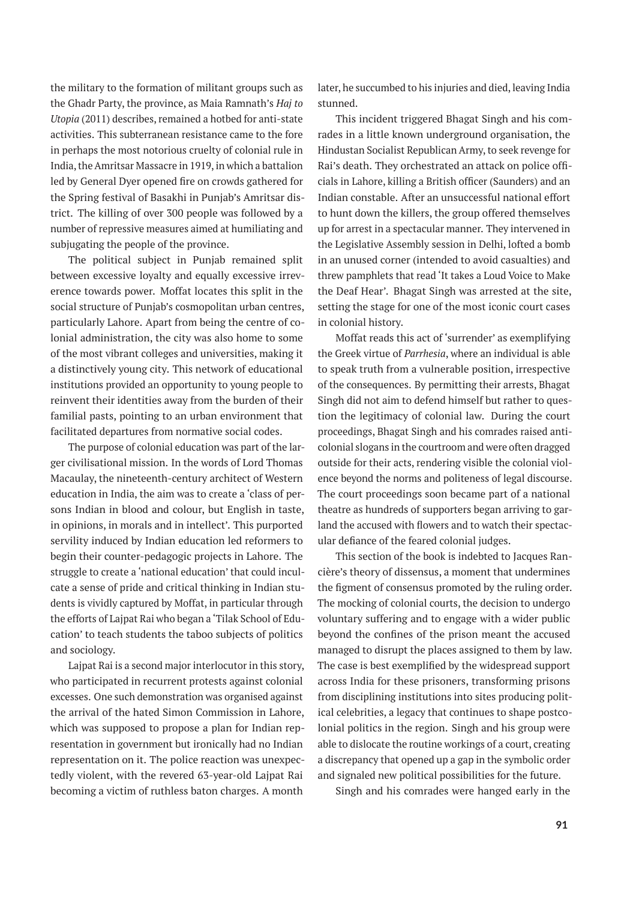the military to the formation of militant groups such as the Ghadr Party, the province, as Maia Ramnath's *Haj to Utopia* (2011) describes, remained a hotbed for anti-state activities. This subterranean resistance came to the fore in perhaps the most notorious cruelty of colonial rule in India, the Amritsar Massacre in 1919, in which a battalion led by General Dyer opened fire on crowds gathered for the Spring festival of Basakhi in Punjab's Amritsar district. The killing of over 300 people was followed by a number of repressive measures aimed at humiliating and subjugating the people of the province.

The political subject in Punjab remained split between excessive loyalty and equally excessive irreverence towards power. Moffat locates this split in the social structure of Punjab's cosmopolitan urban centres, particularly Lahore. Apart from being the centre of colonial administration, the city was also home to some of the most vibrant colleges and universities, making it a distinctively young city. This network of educational institutions provided an opportunity to young people to reinvent their identities away from the burden of their familial pasts, pointing to an urban environment that facilitated departures from normative social codes.

The purpose of colonial education was part of the larger civilisational mission. In the words of Lord Thomas Macaulay, the nineteenth-century architect of Western education in India, the aim was to create a 'class of persons Indian in blood and colour, but English in taste, in opinions, in morals and in intellect'. This purported servility induced by Indian education led reformers to begin their counter-pedagogic projects in Lahore. The struggle to create a 'national education' that could inculcate a sense of pride and critical thinking in Indian students is vividly captured by Moffat, in particular through the efforts of Lajpat Rai who began a 'Tilak School of Education' to teach students the taboo subjects of politics and sociology.

Lajpat Rai is a second major interlocutor in this story, who participated in recurrent protests against colonial excesses. One such demonstration was organised against the arrival of the hated Simon Commission in Lahore, which was supposed to propose a plan for Indian representation in government but ironically had no Indian representation on it. The police reaction was unexpectedly violent, with the revered 63-year-old Lajpat Rai becoming a victim of ruthless baton charges. A month

later, he succumbed to his injuries and died, leaving India stunned.

This incident triggered Bhagat Singh and his comrades in a little known underground organisation, the Hindustan Socialist Republican Army, to seek revenge for Rai's death. They orchestrated an attack on police officials in Lahore, killing a British officer (Saunders) and an Indian constable. After an unsuccessful national effort to hunt down the killers, the group offered themselves up for arrest in a spectacular manner. They intervened in the Legislative Assembly session in Delhi, lofted a bomb in an unused corner (intended to avoid casualties) and threw pamphlets that read 'It takes a Loud Voice to Make the Deaf Hear'. Bhagat Singh was arrested at the site, setting the stage for one of the most iconic court cases in colonial history.

Moffat reads this act of 'surrender' as exemplifying the Greek virtue of *Parrhesia*, where an individual is able to speak truth from a vulnerable position, irrespective of the consequences. By permitting their arrests, Bhagat Singh did not aim to defend himself but rather to question the legitimacy of colonial law. During the court proceedings, Bhagat Singh and his comrades raised anticolonial slogans in the courtroom and were often dragged outside for their acts, rendering visible the colonial violence beyond the norms and politeness of legal discourse. The court proceedings soon became part of a national theatre as hundreds of supporters began arriving to garland the accused with flowers and to watch their spectacular defiance of the feared colonial judges.

This section of the book is indebted to Jacques Rancière's theory of dissensus, a moment that undermines the figment of consensus promoted by the ruling order. The mocking of colonial courts, the decision to undergo voluntary suffering and to engage with a wider public beyond the confines of the prison meant the accused managed to disrupt the places assigned to them by law. The case is best exemplified by the widespread support across India for these prisoners, transforming prisons from disciplining institutions into sites producing political celebrities, a legacy that continues to shape postcolonial politics in the region. Singh and his group were able to dislocate the routine workings of a court, creating a discrepancy that opened up a gap in the symbolic order and signaled new political possibilities for the future.

Singh and his comrades were hanged early in the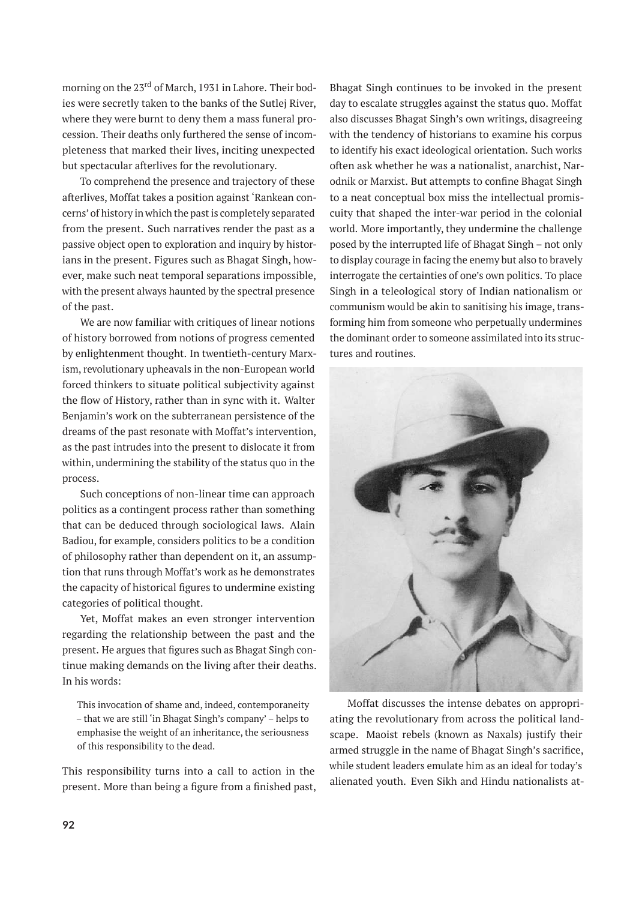morning on the 23<sup>rd</sup> of March, 1931 in Lahore. Their bodies were secretly taken to the banks of the Sutlej River, where they were burnt to deny them a mass funeral procession. Their deaths only furthered the sense of incompleteness that marked their lives, inciting unexpected but spectacular afterlives for the revolutionary.

To comprehend the presence and trajectory of these afterlives, Moffat takes a position against 'Rankean concerns' of history in which the past is completely separated from the present. Such narratives render the past as a passive object open to exploration and inquiry by historians in the present. Figures such as Bhagat Singh, however, make such neat temporal separations impossible, with the present always haunted by the spectral presence of the past.

We are now familiar with critiques of linear notions of history borrowed from notions of progress cemented by enlightenment thought. In twentieth-century Marxism, revolutionary upheavals in the non-European world forced thinkers to situate political subjectivity against the flow of History, rather than in sync with it. Walter Benjamin's work on the subterranean persistence of the dreams of the past resonate with Moffat's intervention, as the past intrudes into the present to dislocate it from within, undermining the stability of the status quo in the process.

Such conceptions of non-linear time can approach politics as a contingent process rather than something that can be deduced through sociological laws. Alain Badiou, for example, considers politics to be a condition of philosophy rather than dependent on it, an assumption that runs through Moffat's work as he demonstrates the capacity of historical figures to undermine existing categories of political thought.

Yet, Moffat makes an even stronger intervention regarding the relationship between the past and the present. He argues that figures such as Bhagat Singh continue making demands on the living after their deaths. In his words:

This invocation of shame and, indeed, contemporaneity – that we are still 'in Bhagat Singh's company' – helps to emphasise the weight of an inheritance, the seriousness of this responsibility to the dead.

This responsibility turns into a call to action in the present. More than being a figure from a finished past, Bhagat Singh continues to be invoked in the present day to escalate struggles against the status quo. Moffat also discusses Bhagat Singh's own writings, disagreeing with the tendency of historians to examine his corpus to identify his exact ideological orientation. Such works often ask whether he was a nationalist, anarchist, Narodnik or Marxist. But attempts to confine Bhagat Singh to a neat conceptual box miss the intellectual promiscuity that shaped the inter-war period in the colonial world. More importantly, they undermine the challenge posed by the interrupted life of Bhagat Singh – not only to display courage in facing the enemy but also to bravely interrogate the certainties of one's own politics. To place Singh in a teleological story of Indian nationalism or communism would be akin to sanitising his image, transforming him from someone who perpetually undermines the dominant order to someone assimilated into its structures and routines.



Moffat discusses the intense debates on appropriating the revolutionary from across the political landscape. Maoist rebels (known as Naxals) justify their armed struggle in the name of Bhagat Singh's sacrifice, while student leaders emulate him as an ideal for today's alienated youth. Even Sikh and Hindu nationalists at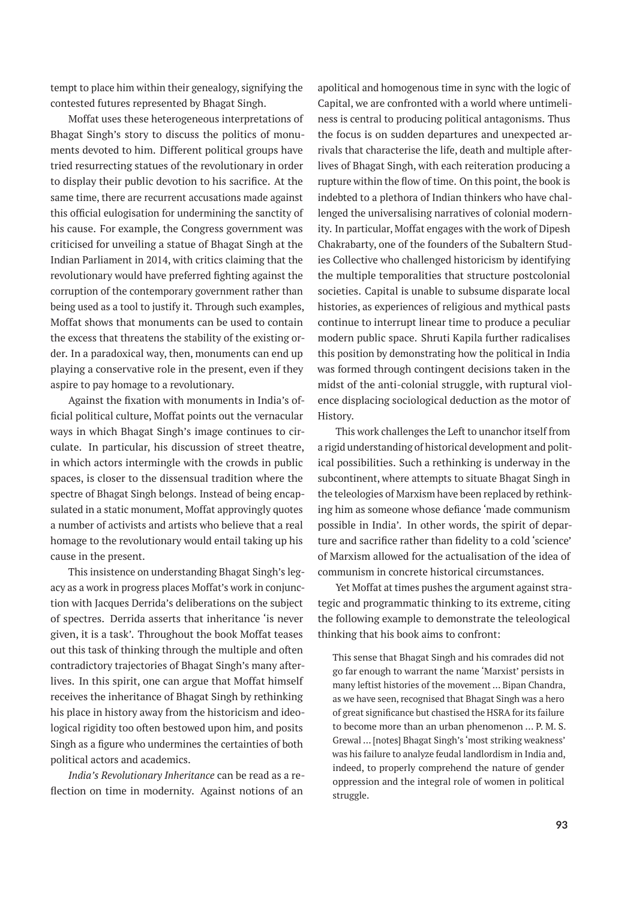tempt to place him within their genealogy, signifying the contested futures represented by Bhagat Singh.

Moffat uses these heterogeneous interpretations of Bhagat Singh's story to discuss the politics of monuments devoted to him. Different political groups have tried resurrecting statues of the revolutionary in order to display their public devotion to his sacrifice. At the same time, there are recurrent accusations made against this official eulogisation for undermining the sanctity of his cause. For example, the Congress government was criticised for unveiling a statue of Bhagat Singh at the Indian Parliament in 2014, with critics claiming that the revolutionary would have preferred fighting against the corruption of the contemporary government rather than being used as a tool to justify it. Through such examples, Moffat shows that monuments can be used to contain the excess that threatens the stability of the existing order. In a paradoxical way, then, monuments can end up playing a conservative role in the present, even if they aspire to pay homage to a revolutionary.

Against the fixation with monuments in India's official political culture, Moffat points out the vernacular ways in which Bhagat Singh's image continues to circulate. In particular, his discussion of street theatre, in which actors intermingle with the crowds in public spaces, is closer to the dissensual tradition where the spectre of Bhagat Singh belongs. Instead of being encapsulated in a static monument, Moffat approvingly quotes a number of activists and artists who believe that a real homage to the revolutionary would entail taking up his cause in the present.

This insistence on understanding Bhagat Singh's legacy as a work in progress places Moffat's work in conjunction with Jacques Derrida's deliberations on the subject of spectres. Derrida asserts that inheritance 'is never given, it is a task'. Throughout the book Moffat teases out this task of thinking through the multiple and often contradictory trajectories of Bhagat Singh's many afterlives. In this spirit, one can argue that Moffat himself receives the inheritance of Bhagat Singh by rethinking his place in history away from the historicism and ideological rigidity too often bestowed upon him, and posits Singh as a figure who undermines the certainties of both political actors and academics.

*India's Revolutionary Inheritance* can be read as a reflection on time in modernity. Against notions of an

apolitical and homogenous time in sync with the logic of Capital, we are confronted with a world where untimeliness is central to producing political antagonisms. Thus the focus is on sudden departures and unexpected arrivals that characterise the life, death and multiple afterlives of Bhagat Singh, with each reiteration producing a rupture within the flow of time. On this point, the book is indebted to a plethora of Indian thinkers who have challenged the universalising narratives of colonial modernity. In particular, Moffat engages with the work of Dipesh Chakrabarty, one of the founders of the Subaltern Studies Collective who challenged historicism by identifying the multiple temporalities that structure postcolonial societies. Capital is unable to subsume disparate local histories, as experiences of religious and mythical pasts continue to interrupt linear time to produce a peculiar modern public space. Shruti Kapila further radicalises this position by demonstrating how the political in India was formed through contingent decisions taken in the midst of the anti-colonial struggle, with ruptural violence displacing sociological deduction as the motor of History.

This work challenges the Left to unanchor itself from a rigid understanding of historical development and political possibilities. Such a rethinking is underway in the subcontinent, where attempts to situate Bhagat Singh in the teleologies of Marxism have been replaced by rethinking him as someone whose defiance 'made communism possible in India'. In other words, the spirit of departure and sacrifice rather than fidelity to a cold 'science' of Marxism allowed for the actualisation of the idea of communism in concrete historical circumstances.

Yet Moffat at times pushes the argument against strategic and programmatic thinking to its extreme, citing the following example to demonstrate the teleological thinking that his book aims to confront:

This sense that Bhagat Singh and his comrades did not go far enough to warrant the name 'Marxist' persists in many leftist histories of the movement … Bipan Chandra, as we have seen, recognised that Bhagat Singh was a hero of great significance but chastised the HSRA for its failure to become more than an urban phenomenon … P. M. S. Grewal … [notes] Bhagat Singh's 'most striking weakness' was his failure to analyze feudal landlordism in India and, indeed, to properly comprehend the nature of gender oppression and the integral role of women in political struggle.